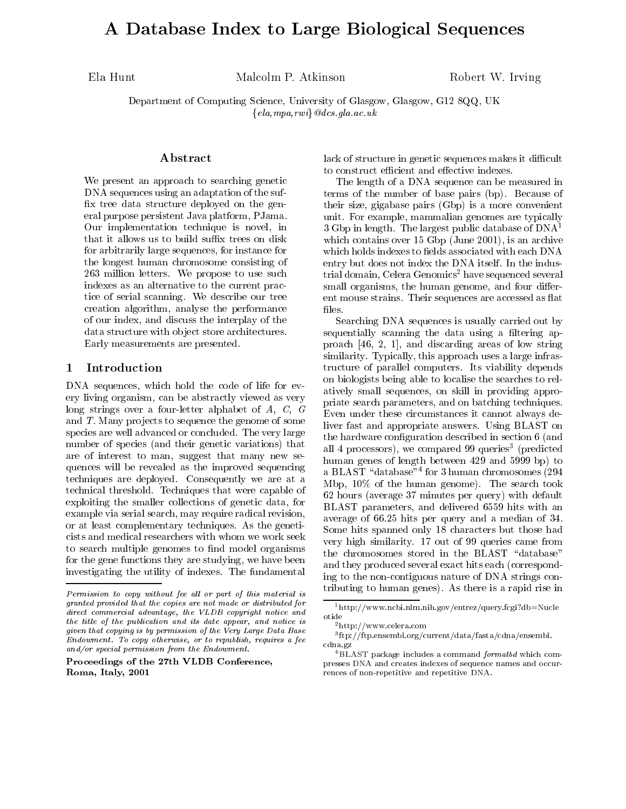# A Database Index to Large Biological Sequences

Ela Hunt Malcolm P. Atkinson Robert W. Irving

Department of Computing Science, University of Glasgow, Glasgow, G12 8QQ, UK  ${ela, mpa, rwi}$  @dcs.gla.ac.uk

## Abstract

We present an approach to searching genetic DNA sequences using an adaptation of the suf x tree data structure deployed on the general purpose persistent Java platform, PJama. Our implementation technique is novel, in that it allows us to build suffix trees on disk for arbitrarily large sequences, for instance for the longest human chromosome consisting of 263 million letters. We propose to use such indexes as an alternative to the current practice of serial scanning. We describe our tree creation algorithm, analyse the performance of our index, and discuss the interplay of the data structure with object store architectures. Early measurements are presented.

## 1 Introduction

DNA sequences, which hold the code of life for every living organism, can be abstractly viewed as very long strings over a four-letter alphabet of A, C, G and  $T$ . Many projects to sequence the genome of some species are well advanced or concluded. The very large number of species (and their genetic variations) that are of interest to man, suggest that many new sequences will be revealed as the improved sequencing techniques are deployed. Consequently we are at a technical threshold. Techniques that were capable of exploiting the smaller collections of genetic data, for example via serial search, may require radical revision, or at least complementary techniques. As the geneticists and medical researchers with whom we work seek to search multiple genomes to find model organisms for the gene functions they are studying, we have been investigating the utility of indexes. The fundamental

Proceedings of the 27th VLDB Conference,Roma, Italy, 2001

lack of structure in genetic sequences makes it difficult to construct efficient and effective indexes.  $\,$ 

The length of a DNA sequence can be measured in terms of the number of base pairs (bp). Because of their size, gigabase pairs (Gbp) is a more convenient unit. For example, mammalian genomes are typically  $3 Gbp$  in length. The largest public database of  $DNA<sup>1</sup>$ which contains over 15 Gbp (June 2001), is an archive which holds indexes to fields associated with each DNA entry but does not index the DNA itself. In the industrial domain, Celera Genomics<sup>2</sup> have sequenced several small organisms, the human genome, and four different mouse strains. Their sequences are accessed as flat files.

Searching DNA sequences is usually carried out by sequentially scanning the data using a filtering approach [46, 2, 1], and discarding areas of low string similarity. Typically, this approach uses a large infrastructure of parallel computers. Its viability depends on biologists being able to localise the searches to relatively small sequences, on skill in providing appropriate search parameters, and on batching techniques. Even under these circumstances it cannot always deliver fast and appropriate answers. Using BLAST on the hardware conguration described in section 6 (and all 4 processors), we compared 99 queries (predicted human genes of length between 429 and 5999 bp) to a BLAST \database"<sup>4</sup> for 3 human chromosomes (294 Mbp, 10% of the human genome). The search took 62 hours (average 37 minutes per query) with default BLAST parameters, and delivered 6559 hits with an average of 66.25 hits per query and a median of 34. Some hits spanned only 18 characters but those had very high similarity. 17 out of 99 queries came from the chromosomes stored in the BLAST "database" and they produced several exact hits each (corresponding to the non-contiguous nature of DNA strings contributing to human genes). As there is a rapid rise in

 $F$ ermission to copy without fee all or part of this material is  $F$ granted provided that the copies are not made or distributed fordirect commercial advantage, the VLDB copyright notice and the title of the publication and its date appear, and notice is given that copying is by permission of the Very Large Data BaseEndowment. To copy otherwise, or to republish, requires a fee and/or special permission from the Endowment.

<sup>1</sup>http://www.ncbi.nlm.nih.gov/entrez/query.fcgi?db=Nucle

<sup>2</sup>http://www.celera.com

<sup>3</sup> ftp://ftp.ensembl.org/current/data/fasta/cdna/ensembl. can control of the control of the control of the control of the control of the control of the control of the control of the control of the control of the control of the control of the control of the control of the control

 $4BLAST$  package includes a command *formatbd* which compresses DNA and creates indexes of sequence names and occurrences of non-repetitive and repetitive DNA.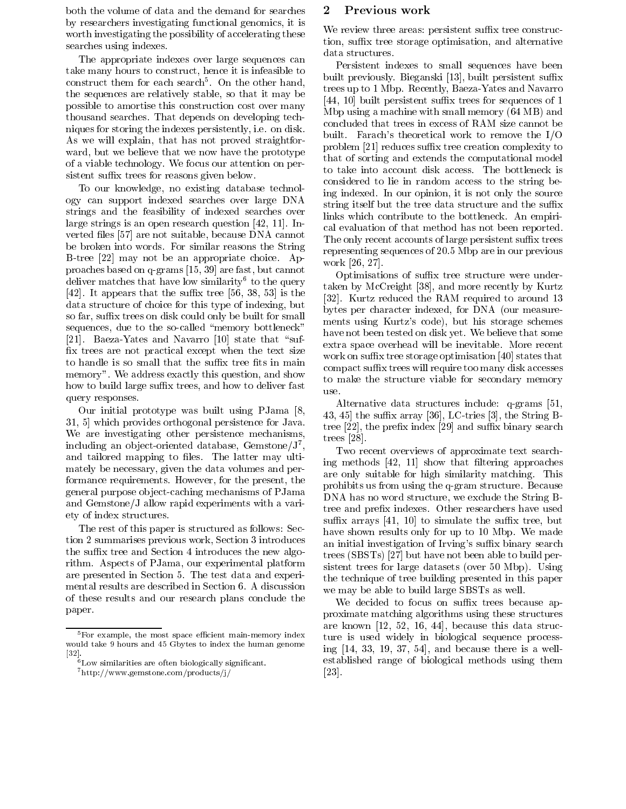both the volume of data and the demand for searches 2 by researchers investigating functional genomics, it is worth investigating the possibility of accelerating these searches using indexes.

The appropriate indexes over large sequences can take many hours to construct, hence it is infeasible to  $\epsilon$ onstruct them for each search $\sim$  On the other hand,  $\sim$ the sequences are relatively stable, so that it may be possible to amortise this construction cost over many thousand searches. That depends on developing techniques for storing the indexes persistently, i.e. on disk. As we will explain, that has not proved straightfor ward, but we believe that we now have the prototype of a viable technology. We focus our attention on persistent suffix trees for reasons given below.

To our knowledge, no existing database technology can support indexed searches over large DNA strings and the feasibility of indexed searches over large strings is an open research question [42, 11]. In verted files [57] are not suitable, because DNA cannot be broken into words. For similar reasons the String B-tree [22] may not be an appropriate choice. Approaches based on q-grams [15, 39] are fast, but cannot deliver matches that have low similarity to the query  $\frac{1}{\sqrt{1-\frac{1}{\sqrt{1-\frac{1}{\sqrt{1-\frac{1}{\sqrt{1-\frac{1}{\sqrt{1-\frac{1}{\sqrt{1-\frac{1}{\sqrt{1-\frac{1}{\sqrt{1-\frac{1}{\sqrt{1-\frac{1}{\sqrt{1-\frac{1}{\sqrt{1-\frac{1}{\sqrt{1-\frac{1}{\sqrt{1-\frac{1}{\sqrt{1-\frac{1}{\sqrt{1-\frac{1}{\sqrt{1-\frac{1}{\sqrt{1-\frac{1}{\sqrt{1-\frac{1$ [42]. It appears that the suffix tree [56, 38, 53] is the data structure of choice for this type of indexing, but so far, suffix trees on disk could only be built for small sequences, due to the so-called "memory bottleneck" [21]. Baeza-Yates and Navarro [10] state that "suffix trees are not practical except when the text size to handle is so small that the suffix tree fits in main memory". We address exactly this question, and show how to build large suffix trees, and how to deliver fast  $\frac{100}{1180}$ query responses.

Our initial prototype was built using PJama [8, 31, 5] which provides orthogonal persistence for Java. We are investigating other persistence mechanisms, including an ob ject-oriented database, Gemstone/J<sup>7</sup> , and tailored mapping to files. The latter may ultimately be necessary, given the data volumes and performance requirements. However, for the present, the general purpose ob ject-caching mechanisms of PJama and Gemstone/J allow rapid experiments with a variety of index structures.

The rest of this paper is structured as follows: Section 2 summarises previous work, Section 3 introduces the suffix tree and Section 4 introduces the new algorithm. Aspects of PJama, our experimental platform are presented in Section 5. The test data and experimental results are described in Section 6. A discussion of these results and our research plans conclude the paper.

# Previous work

We review three areas: persistent suffix tree construction, suffix tree storage optimisation, and alternative data structures.

Persistent indexes to small sequences have been built previously. Bieganski [13], built persistent suffix trees up to 1 Mbp. Recently, Baeza-Yates and Navarro  $[44, 10]$  built persistent suffix trees for sequences of 1 Mbp using a machine with small memory (64 MB) and concluded that trees in excess of RAM size cannot be built. Farach's theoretical work to remove the I/O problem [21] reduces suffix tree creation complexity to that of sorting and extends the computational model to take into account disk access. The bottleneck is considered to lie in random access to the string being indexed. In our opinion, it is not only the source string itself but the tree data structure and the suffix links which contribute to the bottleneck. An empirical evaluation of that method has not been reported. The only recent accounts of large persistent suffix trees representing sequences of 20.5 Mbp are in our previous work [26, 27].

Optimisations of suffix tree structure were undertaken by McCreight [38], and more recently by Kurtz [32]. Kurtz reduced the RAM required to around 13 bytes per character indexed, for DNA (our measurements using Kurtz's code), but his storage schemes have not been tested on disk yet. We believe that some extra space overhead will be inevitable. More recent work on suffix tree storage optimisation [40] states that compact suffix trees will require too many disk accesses to make the structure viable for secondary memory

Alternative data structures include: q-grams [51, 43, 45] the suffix array [36], LC-tries [3], the String Btree  $[22]$ , the prefix index  $[29]$  and suffix binary search trees [28].

Two recent overviews of approximate text searching methods  $[42, 11]$  show that filtering approaches are only suitable for high similarity matching. This prohibits us from using the q-gram structure. Because DNA has no word structure, we exclude the String Btree and prefix indexes. Other researchers have used suffix arrays  $[41, 10]$  to simulate the suffix tree, but have shown results only for up to 10 Mbp. We made an initial investigation of Irving's suffix binary search trees (SBSTs) [27] but have not been able to build persistent trees for large datasets (over 50 Mbp). Using the technique of tree building presented in this paper we may be able to build large SBSTs as well.

We decided to focus on suffix trees because approximate matching algorithms using these structures are known [12, 52, 16, 44], because this data structure is used widely in biological sequence processing [14, 33, 19, 37, 54], and because there is a wellestablished range of biological methods using them [23].

 $5$ For example, the most space efficient main-memory index would take 9 hours and 45 Gbytes to index the human genome

 $\overline{6}$  Low similarities are often biologically significant.

<sup>7</sup>http://www.gemstone.com/products/j/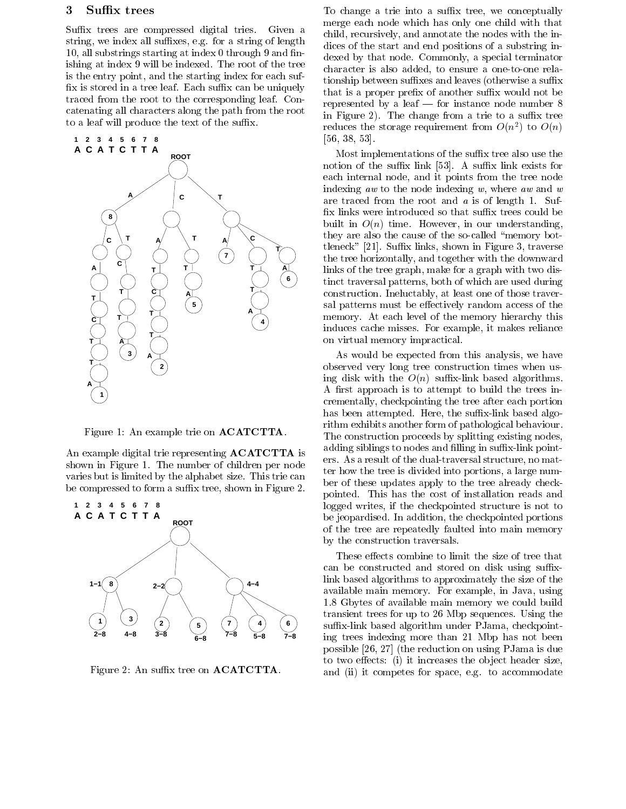# 3 Suffix trees

Suffix trees are compressed digital tries. Given a string, we index all suffixes, e.g. for a string of length 10, all substrings starting at index 0 through 9 and nishing at index 9 will be indexed. The root of the tree is the entry point, and the starting index for each suf fix is stored in a tree leaf. Each suffix can be uniquely traced from the root to the corresponding leaf. Concatenating all characters along the path from the root to a leaf will produce the text of the suffix.



Figure 1: An example trie on ACATCTTA.

An example digital trie representing ACATCTTA is shown in Figure 1. The number of children per node varies but is limited by the alphabet size. This trie can be compressed to form a suffix tree, shown in Figure 2.



Figure 2: An suffix tree on **ACATCTTA**.

To change a trie into a suffix tree, we conceptually merge each node which has only one child with that child, recursively, and annotate the nodes with the indices of the start and end positions of a substring indexed by that node. Commonly, a special terminator character is also added, to ensure a one-to-one relationship between suffixes and leaves (otherwise a suffix that is a proper prefix of another suffix would not be represented by a leaf  $-$  for instance node number  $8$ in Figure 2). The change from a trie to a suffix tree reduces the storage requirement from  $O(n^2)$  to  $O(n)$ [56, 38, 53].

Most implementations of the suffix tree also use the notion of the suffix link  $[53]$ . A suffix link exists for each internal node, and it points from the tree node indexing aw to the node indexing  $w$ , where aw and  $w$ are traced from the root and a is of length 1. Suf fix links were introduced so that suffix trees could be built in  $O(n)$  time. However, in our understanding, they are also the cause of the so-called \memory bottleneck" [21]. Suffix links, shown in Figure 3, traverse the tree horizontally, and together with the downward links of the tree graph, make for a graph with two distinct traversal patterns, both of which are used during construction. Ineluctably, at least one of those traversal patterns must be effectively random access of the memory. At each level of the memory hierarchy this induces cache misses. For example, it makes reliance on virtual memory impractical.

As would be expected from this analysis, we have observed very long tree construction times when using disk with the  $O(n)$  suffix-link based algorithms. A first approach is to attempt to build the trees incrementally, checkpointing the tree after each portion has been attempted. Here, the suffix-link based algorithm exhibits another form of pathological behaviour. The construction proceeds by splitting existing nodes, adding siblings to nodes and filling in suffix-link pointers. As a result of the dual-traversal structure, no matter how the tree is divided into portions, a large number of these updates apply to the tree already checkpointed. This has the cost of installation reads and logged writes, if the checkpointed structure is not to be jeopardised. In addition, the checkpointed portions of the tree are repeatedly faulted into main memory by the construction traversals.

These effects combine to limit the size of tree that can be constructed and stored on disk using suffixlink based algorithms to approximately the size of the available main memory. For example, in Java, using 1.8 Gbytes of available main memory we could build transient trees for up to 26 Mbp sequences. Using the suffix-link based algorithm under PJama, checkpointing trees indexing more than 21 Mbp has not been possible [26, 27] (the reduction on using PJama is due to two effects: (i) it increases the object header size, and (ii) it competes for space, e.g. to accommodate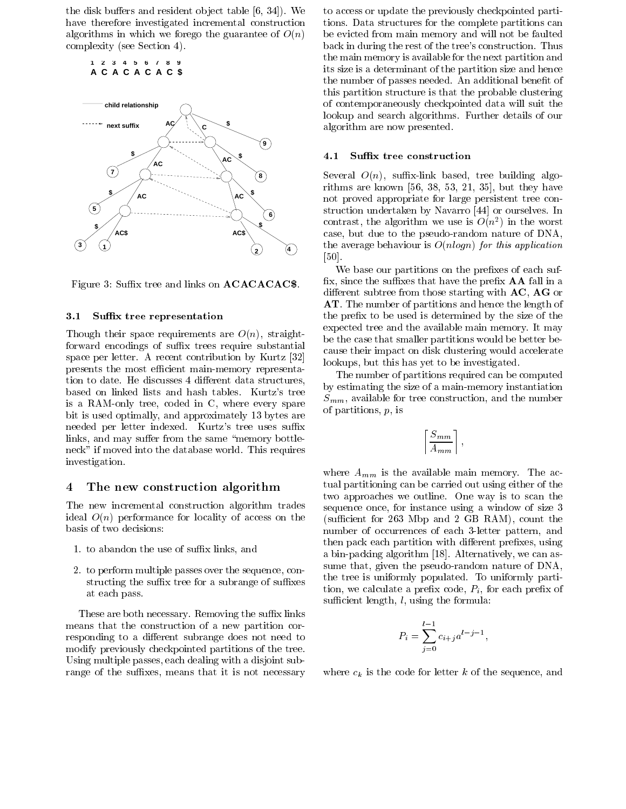the disk buffers and resident object table  $[6, 34]$ . We have therefore investigated incremental construction algorithms in which we forego the guarantee of  $O(n)$ complexity (see Section 4).

**1 2 3 4 5 6 7 8 9 A C A C A C A C \$**



Figure 3: Suffix tree and links on **ACACACAC\$**.

#### 3.1 Suffix tree representation

Though their space requirements are  $O(n)$ , straightforward encodings of suffix trees require substantial space per letter. A recent contribution by Kurtz [32] presents the most efficient main-memory representation to date. He discusses 4 different data structures, based on linked lists and hash tables. Kurtz's tree is a RAM-only tree, coded in C, where every spare bit is used optimally, and approximately 13 bytes are needed per letter indexed. Kurtz's tree uses suffix links, and may suffer from the same "memory bottleneck" if moved into the database world. This requires investigation.

#### The new construction algorithm  $\overline{4}$

The new incremental construction algorithm trades ideal  $O(n)$  performance for locality of access on the basis of two decisions:

- 1. to abandon the use of suffix links, and
- 2. to perform multiple passes over the sequence, constructing the suffix tree for a subrange of suffixes at each pass.

These are both necessary. Removing the suffix links means that the construction of a new partition corresponding to a different subrange does not need to modify previously checkpointed partitions of the tree. Using multiple passes, each dealing with a disjoint subrange of the suffixes, means that it is not necessary to access or update the previously checkpointed partitions. Data structures for the complete partitions can be evicted from main memory and will not be faulted back in during the rest of the tree's construction. Thus the main memory is available for the next partition and its size is a determinant of the partition size and hence the number of passes needed. An additional benefit of this partition structure is that the probable clustering of contemporaneously checkpointed data will suit the lookup and search algorithms. Further details of our algorithm are now presented.

### 4.1 Suffix tree construction

Several  $O(n)$ , suffix-link based, tree building algorithms are known [56,38, 53, 21, 35], but they have not proved appropriate for large persistent tree construction undertaken by Navarro [44] or ourselves. In contrast, the argorithm we use is  $O(n^2)$  in the worst case, but due to the pseudo-random nature of DNA, the average behaviour is  $O(n \log n)$  for this application [50].

We base our partitions on the prefixes of each suffix, since the suffixes that have the prefix  $AA$  fall in a different subtree from those starting with  $AC$ ,  $AG$  or AT. The number of partitions and hence the length of the prefix to be used is determined by the size of the expected tree and the available main memory. It may be the case that smaller partitions would be better because their impact on disk clustering would accelerate lookups, but this has yet to be investigated.

The number of partitions required can be computed by estimating the size of a main-memory instantiation  $S_{mm}$ , available for tree construction, and the number of partitions, p, is

$$
\left\lceil \frac{S_{mm}}{A_{mm}} \right\rceil,
$$

where  $A_{mm}$  is the available main memory. The actual partitioning can be carried out using either of the two approaches we outline. One way is to scan the sequence once, for instance using a window of size 3 (sufficient for  $263$  Mbp and  $2$  GB RAM), count the number of occurrences of each 3-letter pattern, and then pack each partition with different prefixes, using a bin-packing algorithm [18]. Alternatively, we can assume that, given the pseudo-random nature of DNA, the tree is uniformly populated. To uniformly partition, we calculate a prefix code,  $P_i$ , for each prefix of sufficient length,  $l$ , using the formula:

$$
P_i = \sum_{j=0}^{l-1} c_{i+j} a^{l-j-1},
$$

where  $c_k$  is the code for letter k of the sequence, and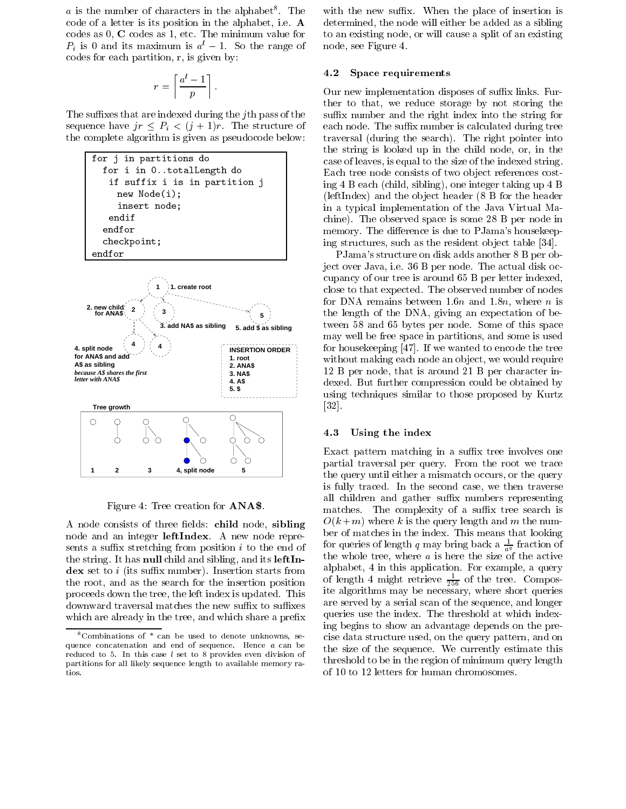$a$  is the number of characters in the alphabet. The  $\square$  wit code of a letter is its position in the alphabet, i.e. A codes as 0, C codes as 1, etc. The minimum value for  $P_i$  is 0 and its maximum is  $a^l - 1$ . So the range of codes for each partition, r, is given by:

$$
r = \left\lceil \frac{a^l - 1}{p} \right\rceil.
$$

The suffixes that are indexed during the jth pass of the sequence have  $jr < P_i < (j + 1)r$ . The structure of the complete algorithm is given as pseudocode below:



Figure 4: Tree creation for ANA\$.

A node consists of three fields: child node, sibling node and an integer **leftIndex**. A new node represents a suffix stretching from position  $i$  to the end of the string. It has null child and sibling, and its leftIn- $\bf{dex}$  set to *i* (its suffix number). Insertion starts from the root, and as the search for the insertion position proceeds down the tree, the left index is updated. This downward traversal matches the new suffix to suffixes which are already in the tree, and which share a prefix

with the new suffix. When the place of insertion is determined, the node will either be added as a sibling to an existing node, or will cause a split of an existing node, see Figure 4.

#### 4.2 Space requirements

Our new implementation disposes of suffix links. Further to that, we reduce storage by not storing the suffix number and the right index into the string for each node. The suffix number is calculated during tree traversal (during the search). The right pointer into the string is looked up in the child node, or, in the case of leaves, is equal to the size of the indexed string. Each tree node consists of two object references costing 4 B each (child, sibling), one integer taking up 4 B (leftIndex) and the ob ject header (8 B for the header in a typical implementation of the Java Virtual Machine). The observed space is some 28 B per node in memory. The difference is due to PJama's housekeeping structures, such as the resident ob ject table [34].

PJama's structure on disk adds another 8 B per object over Java, i.e. 36 B per node. The actual disk occupancy of our tree is around 65 B per letter indexed, close to that expected. The observed number of nodes for DNA remains between 1.6n and 1.8n, where n is the length of the DNA, giving an expectation of between 58 and 65 bytes per node. Some of this space may well be free space in partitions, and some is used for housekeeping [47]. If we wanted to encode the tree without making each node an object, we would require 12 B per node, that is around 21 B per character indexed. But further compression could be obtained by using techniques similar to those proposed by Kurtz [32].

#### 4.3 Using the index

Exact pattern matching in a suffix tree involves one partial traversal per query. From the root we trace the query until either a mismatch occurs, or the query is fully traced. In the second case, we then traverse all children and gather suffix numbers representing matches. The complexity of a suffix tree search is  $O(k+m)$  where k is the query length and m the number of matches in the index. This means that looking for queries of length q may bring back a  $\frac{1}{a^q}$  fraction of the whole tree, where  $a$  is here the size of the active alphabet, 4 in this application. For example, a query of length 4 might retrieve  $\frac{1}{256}$  of the tree. Composite algorithms may be necessary, where short queries are served by a serial scan of the sequence, and longer queries use the index. The threshold at which indexing begins to show an advantage depends on the precise data structure used, on the query pattern, and on the size of the sequence. We currently estimate this threshold to be in the region of minimum query length of 10 to 12 letters for human chromosomes.

<sup>8</sup>Combinations of \* can be used to denote unknowns, se quence concatenation and end of sequence. Hence <sup>a</sup> can be reduced to 5. In this case  $l$  set to 8 provides even division of partitions for all likely sequence length to available memory ratios.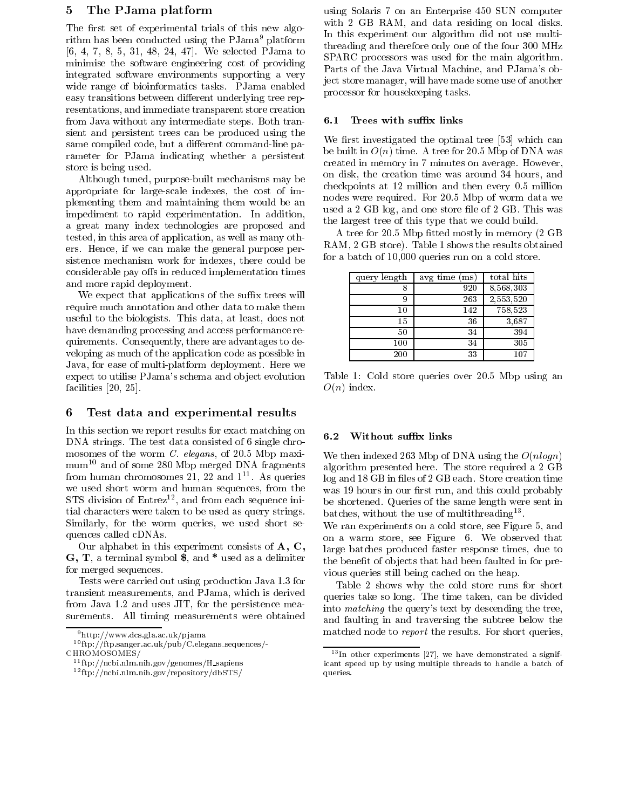# 5 The PJama platform

The first set of experimental trials of this new algorithm has been conducted using the PJama<sup>9</sup> platform [6, 4, 7, 8, 5, 31, 48, 24, 47]. We selected PJama to minimise the software engineering cost of providing integrated software environments supporting a very wide range of bioinformatics tasks. PJama enabled easy transitions between different underlying tree representations, and immediate transparent store creation from Java without any intermediate steps. Both transient and persistent trees can be produced using the same compiled code, but a different command-line parameter for PJama indicating whether a persistent store is being used.

Although tuned, purpose-built mechanisms may be appropriate for large-scale indexes, the cost of implementing them andmaintaining them would be an impediment to rapid experimentation. In addition, a great many index technologies are proposed and tested, in this area of application, as well as many others. Hence, if we can make the general purpose persistence mechanism work for indexes, there could be considerable pay offs in reduced implementation times and more rapid deployment.

We expect that applications of the suffix trees will require much annotation and other data to make them useful to the biologists. This data, at least, does not have demanding processing and access performance requirements. Consequently, there are advantages to de veloping as much of the application code as possible in Java, for ease of multi-platform deployment. Here we expect to utilise PJama's schema and object evolution facilities [20, 25].

# 6 Test data and experimental results

In this section we report results for exact matching on 6.2 DNA strings. The test data consisted of 6 single chromosomes of the worm *C. elegans*, of 20.5 Mbp maximum10 and of some 280 Mbp merged DNA fragments from human chromosomes 21, 22 and 1<sup>-1</sup>. As queries  $\log$ we used short worm and human sequences, from the  $STS$  division of  $Entre<sup>12</sup>$ , and from each sequence initial characters were taken to be used as query strings. Similarly, for the worm queries, we used short sequences called cDNAs.

Our alphabet in this experiment consists of A, C, G, T, a terminal symbol \$, and \* used as a delimiter for merged sequences.

Tests were carried out using production Java 1.3 for transient measurements, and PJama, which is derived from Java 1.2 and uses JIT, for the persistence measurements. All timing measurements were obtained

using Solaris 7 on an Enterprise 450 SUN computer with 2 GB RAM, and data residing on local disks. In this experiment our algorithm did not use multithreading and therefore only one of the four 300 MHz SPARC processors was used for the main algorithm. Parts of the Java Virtual Machine, and PJama's object store manager, will have made some use of another processor for housekeeping tasks.

#### 6.1 Trees with suffix links

We first investigated the optimal tree [53] which can be built in  $O(n)$  time. A tree for 20.5 Mbp of DNA was created in memory in 7 minutes on average. However, on disk, the creation time was around 34 hours, and checkpoints at 12 million and then every 0.5 million nodes were required. For 20.5 Mbp of worm data we used a 2 GB log, and one store file of 2 GB. This was the largest tree of this type that we could build.

A tree for 20.5 Mbp fitted mostly in memory (2 GB) RAM, 2 GB store). Table 1 shows the results obtained for a batch of 10,000 queries run on a cold store.

| query length | avg time (ms) | total hits |
|--------------|---------------|------------|
|              | 920           | 8,568,303  |
| 9            | 263           | 2,553,520  |
| 10           | 142           | 758,523    |
| 15           | 36            | 3,687      |
| 50           | 34            | 394        |
| 100          | 34            | 305        |
| 200          | 33            | $107\,$    |

Table 1: Cold store queries over 20.5 Mbp using an  $O(n)$  index.

#### Without suffix links

We then indexed 263 Mbp of DNA using the  $O(nlog n)$ algorithm presented here. The store required a 2 GB log and 18 GB in files of 2 GB each. Store creation time was 19 hours in our first run, and this could probably be shortened. Queries of the same length were sent in batches, without the use of multithreading<sup>13</sup>.

We ran experiments on a cold store, see Figure 5, and on a warm store, see Figure 6. We observed that large batches produced faster response times, due to the benefit of objects that had been faulted in for previous queries still being cached on the heap.

Table 2 shows why the cold store runs for short queries take so long. The time taken, can be divided into matching the query's text by descending the tree, and faulting in and traversing the subtree below the matched node to report the results. For short queries,

 $9$ http://www.dcs.gla.ac.uk/pjama

<sup>10</sup> ftp://ftp.sanger.ac.uk/pub/C.elegans sequences/- CHROMOSOMES/

<sup>11</sup> ftp://ncbi.nlm.nih.gov/genomes/H sapiens

<sup>12</sup> ftp://ncbi.nlm.nih.gov/repository/dbSTS/

 $13\,\text{In}$  other experiments [27], we have demonstrated a significant speed up by using multiple threads to handle a batch of queries.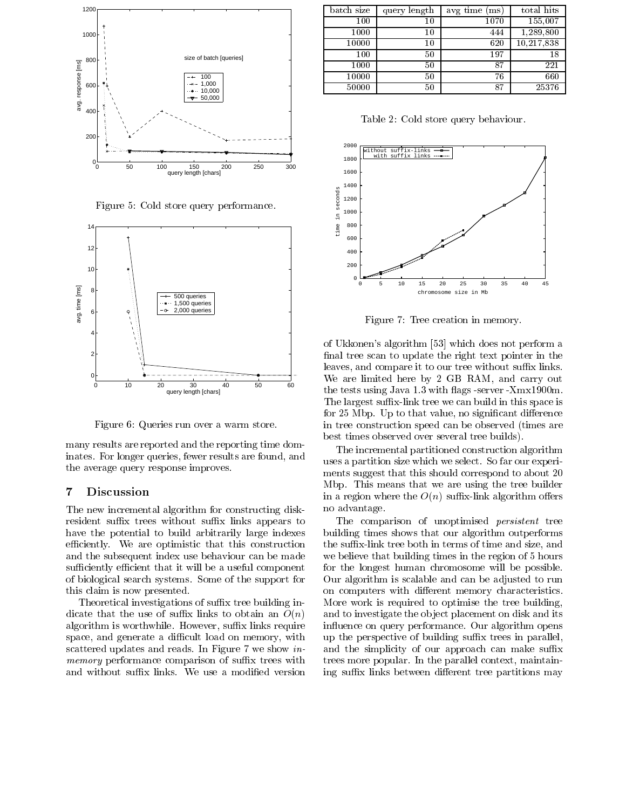

Figure 5: Cold store query performance.



Figure 6: Queries run over a warm store.

many results are reported and the reporting time dominates. For longer queries, fewer results are found, and the average query response improves.

#### $\overline{7}$ **Discussion**

The new incremental algorithm for constructing diskresident suffix trees without suffix links appears to have the potential to build arbitrarily large indexes efficiently. We are optimistic that this construction and the subsequent index use behaviour can be made sufficiently efficient that it will be a useful component of biological search systems. Some of the support for this claim is now presented.

Theoretical investigations of suffix tree building indicate that the use of suffix links to obtain an  $O(n)$ algorithm is worthwhile. However, suffix links require space, and generate a difficult load on memory, with scattered updates and reads. In Figure 7 we show inmemory performance comparison of suffix trees with and without suffix links. We use a modified version

| batch size | query length | avg time (ms) | total hits |  |
|------------|--------------|---------------|------------|--|
| 100        | 10           | 1070          | 155,007    |  |
| 1000       | 10           | 444           | 1,289,800  |  |
| 10000      | 10           | 620           | 10,217,838 |  |
| 100        | 50           | 197           | 18         |  |
| 1000       | 50           | 87            | 221        |  |
| 10000      | 50           | 76            | 660        |  |
| 50000      | 50           | 87            | 25376      |  |

Table 2: Cold store query behaviour.



Figure 7: Tree creation in memory.

of Ukkonen's algorithm [53] which does not perform a final tree scan to update the right text pointer in the leaves, and compare it to our tree without suffix links. We are limited here by 2 GB RAM, and carry out the tests using Java 1.3 with 
ags -server -Xmx1900m. The largest suffix-link tree we can build in this space is for 25 Mbp. Up to that value, no significant difference in tree construction speed can be observed (times are best times observed over several tree builds).

The incremental partitioned construction algorithm uses a partition size which we select. So far our experiments suggest that this should correspond to about 20 Mbp. This means that we are using the tree builder in a region where the  $O(n)$  suffix-link algorithm offers no advantage.

The comparison of unoptimised *persistent* tree building times shows that our algorithm outperforms the suffix-link tree both in terms of time and size, and we believe that building times in the region of 5 hours for the longest human chromosome will be possible. Our algorithm is scalable and can be adjusted to run on computers with different memory characteristics. More work is required to optimise the tree building, and to investigate the ob ject placement on disk and its in
uence on query performance. Our algorithm opens up the perspective of building suffix trees in parallel, and the simplicity of our approach can make suffix trees more popular. In the parallel context, maintaining suffix links between different tree partitions may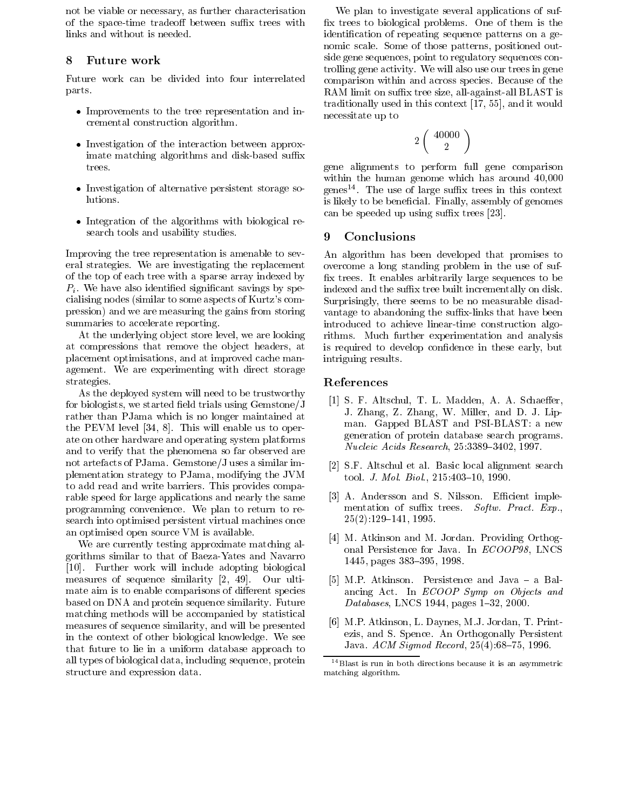not be viable or necessary, as further characterisation of the space-time tradeoff between suffix trees with links and without is needed.

# 8 Future work

Future work can be divided into four interrelated parts.

- $\bullet$  improvements to the tree representation and incremental construction algorithm.
- $\bullet$  Investigation of the interaction between approximate matching algorithms and disk-based suffix trees.
- Investigation of alternative persistent storage solutions.
- $\bullet$  Integration of the algorithms with biological research tools and usability studies.

Improving the tree representation is amenable to several strategies. We are investigating the replacement of the top of each tree with a sparse array indexed by  $P_i$ . We have also identified significant savings by specialising nodes (similar to some aspects of Kurtz's compression) and we are measuring the gains from storing summaries to accelerate reporting.

At the underlying ob ject store level, we are looking at compressions that remove the ob ject headers, at placement optimisations, and at improved cache management. We are experimenting with direct storage strategies.

As the deployed system will need to be trustworthy for biologists, we started field trials using  $Gemstone/J$ rather than PJama which is no longer maintained at the PEVM level [34, 8]. This will enable us to operate on other hardware and operating system platforms and to verify that the phenomena so far observed are not artefacts of PJama. Gemstone/J uses a similar implementation strategy to PJama, modifying the JVM to add read and write barriers. This provides comparable speed for large applications and nearly the same programming convenience. We plan to return to research into optimised persistent virtual machines once an optimised open source VM is available.

We are currently testing approximate matching algorithms similar to that of Baeza-Yates and Navarro [10]. Further work will include adopting biological measures of sequence similarity [2, 49]. Our ultimate aim is to enable comparisons of different species based on DNA and protein sequence similarity. Future matching methods will be accompanied by statistical measures of sequence similarity, and will be presented in the context of other biological knowledge. We see that future to lie in a uniform database approach to all types of biological data, including sequence, protein structure and expression data.

We plan to investigate several applications of suf x trees to biological problems. One of them is the identication of repeating sequence patterns on a genomic scale. Some of those patterns, positioned outside gene sequences, point to regulatory sequences controlling gene activity. We will also use our trees in gene comparison within and across species. Because of the RAM limit on suffix tree size, all-against-all BLAST is traditionally used in this context [17, 55], and it would necessitate up to

$$
2\left(\begin{array}{c} 40000\\2\end{array}\right)
$$

gene alignments to perform full gene comparison within the human genome which has around 40,000 genes<sup>--</sup>. The use of large sumix trees in this context is likely to be beneficial. Finally, assembly of genomes can be speeded up using suffix trees [23].

# 9 Conclusions

An algorithm has been developed that promises to overcome a long standing problem in the use of suf x trees. It enables arbitrarily large sequences to be indexed and the suffix tree built incrementally on disk. Surprisingly, there seems to be no measurable disad vantage to abandoning the suffix-links that have been introduced to achieve linear-time construction algorithms. Much further experimentation and analysis is required to develop condence in these early, but intriguing results.

# References

- [1] S. F. Altschul, T. L. Madden, A. A. Schaeffer, J. Zhang, Z. Zhang, W. Miller, and D. J. Lipman. Gapped BLAST and PSI-BLAST: a new generation of protein database search programs.  $Nucleic \ Acids\ Research$ ,  $25:3389-3402$ , 1997.
- [2] S.F. Altschul et al. Basic local alignment search tool. J. Mol. Biol., 215:403-10, 1990.
- [3] A. Andersson and S. Nilsson. Efficient implementation of suffix trees. Softw. Pract.  $Exp.$  $25(2):129–141, 1995.$
- [4] M. Atkinson and M. Jordan. Providing Orthogonal Persistence for Java. In ECOOP98, LNCS 1445, pages 383-395, 1998.
- [5] M.P. Atkinson. Persistence and  $Java a$  Balancing Act. In ECOOP Symp on Objects and Databases, LNCS 1944, pages  $1–32$ , 2000.
- [6] M.P. Atkinson, L. Daynes, M.J. Jordan, T. Printezis, and S. Spence. An Orthogonally Persistent Java.  $ACM$  Sigmod Record,  $25(4)$ :68-75, 1996.

<sup>14</sup>Blast is run in both directions because it is an asymmetric matching algorithm.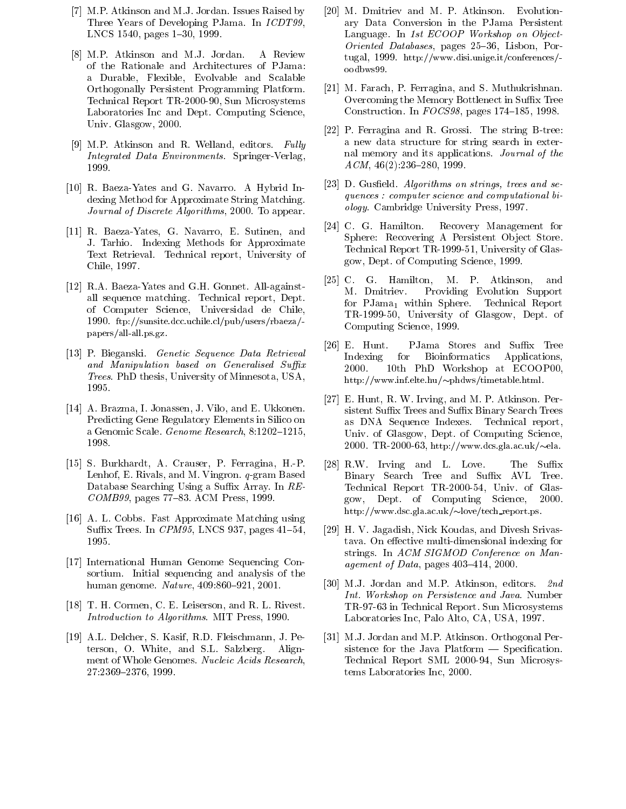- [7] M.P. Atkinson and M.J. Jordan. Issues Raised by Three Years of Developing PJama. In ICDT99, LNCS 1540, pages 1-30, 1999.
- [8] M.P. Atkinson and M.J. Jordan. A Review of the Rationale and Architectures of PJama: a Durable, Flexible, Evolvable and Scalable Orthogonally Persistent Programming Platform. Technical Report TR-2000-90, Sun Microsystems Laboratories Inc and Dept. Computing Science, Univ. Glasgow, 2000.
- [9] M.P. Atkinson and R. Welland, editors.  $Fully$ Integrated Data Environments. Springer-Verlag, 1999.
- [10] R. Baeza-Yates and G. Navarro. A Hybrid Indexing Method for Approximate String Matching. Journal of Discrete Algorithms, 2000. To appear.
- [11] R. Baeza-Yates, G. Navarro, E. Sutinen, and J. Tarhio. Indexing Methods for Approximate Text Retrieval. Technical report, University of Chile, 1997.
- [12] R.A. Baeza-Yates and G.H. Gonnet. All-againstall sequence matching. Technical report, Dept. of Computer Science, Universidad de Chile, 1990. ftp://sunsite.dcc.uchile.cl/pub/users/rbaeza/ papers/all-all.ps.gz.
- [13] P. Bieganski. Genetic Sequence Data Retrieval and Manipulation based on Generalised Suffix Trees. PhD thesis, University of Minnesota, USA, 1995.
- [14] A. Brazma, I. Jonassen, J. Vilo, and E. Ukkonen. Predicting Gene Regulatory Elements in Silico on a Genomic Scale. Genome Research,  $8:1202{-}1215$ , 1998.
- [15] S. Burkhardt, A. Crauser, P. Ferragina, H.-P. Lenhof, E. Rivals, and M. Vingron. q-gram Based Database Searching Using a Suffix Array. In  $RE$ - $COMB99$ , pages 77-83. ACM Press, 1999.
- [16] A. L. Cobbs. Fast Approximate Matching using Suffix Trees. In  $\mathit{CPM95}$ , LNCS 937, pages 41-54, 1995.
- [17] International Human Genome Sequencing Consortium. Initial sequencing and analysis of the human genome. Nature, 409:860-921, 2001.
- [18] T. H. Cormen, C. E. Leiserson, and R. L. Rivest. Introduction to Algorithms. MIT Press, 1990.
- [19] A.L. Delcher, S. Kasif, R.D. Fleischmann, J. Peterson, O. White, and S.L. Salzberg. Alignment of Whole Genomes. Nucleic Acids Research, 27:2369-2376, 1999.
- [20] M. Dmitriev and M. P. Atkinson. Evolutionary Data Conversion in the PJama Persistent Language. In 1st ECOOP Workshop on Object- $Oriented\ Database$ , pages  $25{-}36$ , Lisbon, Portugal, 1999. http://www.disi.unige.it/conferences/ oodbws99.
- [21] M. Farach, P. Ferragina, and S. Muthukrishnan. Overcoming the Memory Bottlenect in Suffix Tree Construction. In  $FOCS98$ , pages 174-185, 1998.
- [22] P. Ferragina and R. Grossi. The string B-tree: a new data structure for string search in external memory and its applications. Journal of the  $ACM$ , 46(2):236–280, 1999.
- [23] D. Gusfield. Algorithms on strings, trees and sequences : computer science and computational biology. Cambridge University Press, 1997.
- [24] C. G. Hamilton. Recovery Management for Sphere: Recovering A Persistent Object Store. Technical Report TR-1999-51, University of Glasgow, Dept. of Computing Science, 1999.
- [25] C. G. Hamilton, M. P. Atkinson, and M. Dmitriev. Providing Evolution Support for  $PJama_1$  within Sphere. Technical Report TR-1999-50, University of Glasgow, Dept. of Computing Science, 1999.
- [26] E. Hunt. PJama Stores and Suffix Tree Indexing for Bioinformatics Applications, 2000. 10th PhD Workshop at ECOOP00, http://www.inf.elte.hu/ $\sim$ phdws/timetable.html.
- [27] E. Hunt, R. W. Irving, and M. P. Atkinson. Persistent Suffix Trees and Suffix Binary Search Trees as DNA Sequence Indexes. Technical report, Univ. of Glasgow, Dept. of Computing Science, 2000. TR-2000-63, http://www.dcs.gla.ac.uk/ $\sim$ ela.
- [28] R.W. Irving and L. Love. The Suffix Binary Search Tree and Suffix AVL Tree. Technical Report TR-2000-54, Univ. of Glasgow, Dept. of Computing Science, 2000. http://www.dsc.gla.ac.uk/love/tech report.ps.gla.ac.uk/love/tech report.ps.gla.ac.uk
- [29] H. V. Jagadish, Nick Koudas, and Divesh Srivastava. On effective multi-dimensional indexing for strings. In ACM SIGMOD Conference on Management of Data, pages  $403-414$ , 2000.
- [30] M.J. Jordan and M.P. Atkinson, editors. 2nd Int. Workshop on Persistence and Java. Number TR-97-63 in Technical Report. Sun Microsystems Laboratories Inc, Palo Alto, CA, USA, 1997.
- [31] M.J. Jordan and M.P. Atkinson. Orthogonal Persistence for the Java Platform  $-$  Specification. Technical Report SML 2000-94, Sun Microsystems Laboratories Inc, 2000.